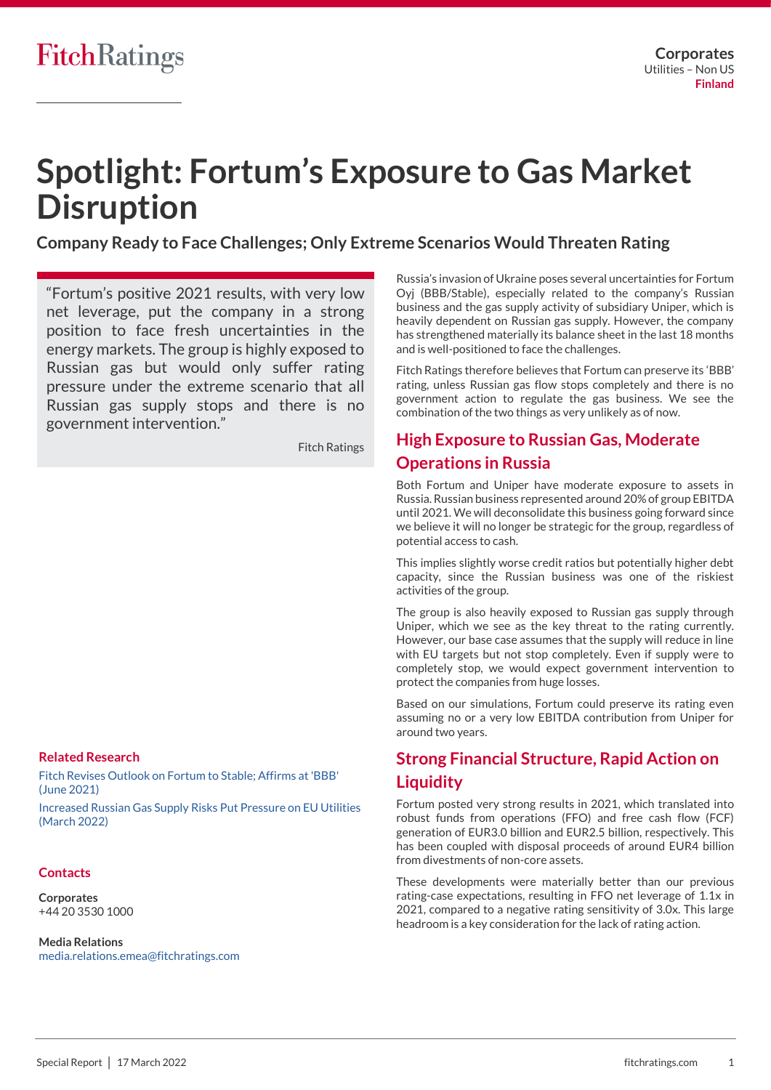# **Spotlight: Fortum's Exposure to Gas Market Disruption**

**Company Ready to Face Challenges; Only Extreme Scenarios Would Threaten Rating** 

"Fortum's positive 2021 results, with very low net leverage, put the company in a strong position to face fresh uncertainties in the energy markets. The group is highly exposed to Russian gas but would only suffer rating pressure under the extreme scenario that all Russian gas supply stops and there is no government intervention."

Fitch Ratings

### **Related Research**

[Fitch Revises Outlook on Fortum to Stable; Affirms at 'BBB'](https://www.fitchratings.com/research/corporate-finance/correction-fitch-revises-outlook-on-fortum-to-stable-affirms-at-bbb-30-06-2021)  [\(June 2021\)](https://www.fitchratings.com/research/corporate-finance/correction-fitch-revises-outlook-on-fortum-to-stable-affirms-at-bbb-30-06-2021)

[Increased Russian Gas Supply Risks Put Pressure on EU Utilities](https://www.fitchratings.com/research/corporate-finance/increased-russian-gas-supply-risks-put-pressure-on-eu-utilities-08-03-2022)  [\(March 2022\)](https://www.fitchratings.com/research/corporate-finance/increased-russian-gas-supply-risks-put-pressure-on-eu-utilities-08-03-2022)

### **Contacts**

**Corporates** +44 20 3530 1000

**Media Relations** [media.relations.emea@fitchratings.com](mailto:media.relations.emea@fitchratings.com)

Russia's invasion of Ukraine poses several uncertainties for Fortum Oyj (BBB/Stable), especially related to the company's Russian business and the gas supply activity of subsidiary Uniper, which is heavily dependent on Russian gas supply. However, the company has strengthened materially its balance sheet in the last 18 months and is well-positioned to face the challenges.

Fitch Ratings therefore believes that Fortum can preserve its 'BBB' rating, unless Russian gas flow stops completely and there is no government action to regulate the gas business. We see the combination of the two things as very unlikely as of now.

## **High Exposure to Russian Gas, Moderate Operations in Russia**

Both Fortum and Uniper have moderate exposure to assets in Russia. Russian business represented around 20% of group EBITDA until 2021. We will deconsolidate this business going forward since we believe it will no longer be strategic for the group, regardless of potential access to cash.

This implies slightly worse credit ratios but potentially higher debt capacity, since the Russian business was one of the riskiest activities of the group.

The group is also heavily exposed to Russian gas supply through Uniper, which we see as the key threat to the rating currently. However, our base case assumes that the supply will reduce in line with EU targets but not stop completely. Even if supply were to completely stop, we would expect government intervention to protect the companies from huge losses.

Based on our simulations, Fortum could preserve its rating even assuming no or a very low EBITDA contribution from Uniper for around two years.

## **Strong Financial Structure, Rapid Action on Liquidity**

Fortum posted very strong results in 2021, which translated into robust funds from operations (FFO) and free cash flow (FCF) generation of EUR3.0 billion and EUR2.5 billion, respectively. This has been coupled with disposal proceeds of around EUR4 billion from divestments of non-core assets.

These developments were materially better than our previous rating-case expectations, resulting in FFO net leverage of 1.1x in 2021, compared to a negative rating sensitivity of 3.0x. This large headroom is a key consideration for the lack of rating action.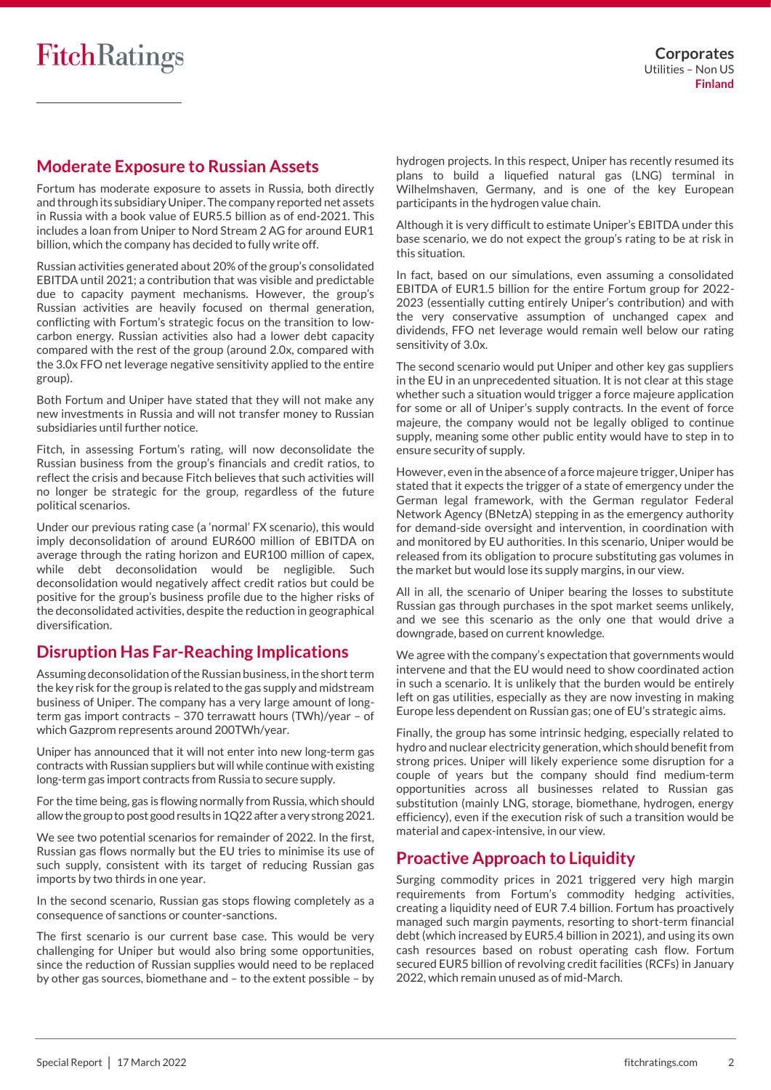### **Moderate Exposure to Russian Assets**

Fortum has moderate exposure to assets in Russia, both directly and through its subsidiary Uniper. The company reported net assets in Russia with a book value of EUR5.5 billion as of end-2021. This includes a loan from Uniper to Nord Stream 2 AG for around EUR1 billion, which the company has decided to fully write off.

Russian activities generated about 20% of the group's consolidated EBITDA until 2021; a contribution that was visible and predictable due to capacity payment mechanisms. However, the group's Russian activities are heavily focused on thermal generation, conflicting with Fortum's strategic focus on the transition to lowcarbon energy. Russian activities also had a lower debt capacity compared with the rest of the group (around 2.0x, compared with the 3.0x FFO net leverage negative sensitivity applied to the entire group).

Both Fortum and Uniper have stated that they will not make any new investments in Russia and will not transfer money to Russian subsidiaries until further notice.

Fitch, in assessing Fortum's rating, will now deconsolidate the Russian business from the group's financials and credit ratios, to reflect the crisis and because Fitch believes that such activities will no longer be strategic for the group, regardless of the future political scenarios.

Under our previous rating case (a 'normal' FX scenario), this would imply deconsolidation of around EUR600 million of EBITDA on average through the rating horizon and EUR100 million of capex, while debt deconsolidation would be negligible. Such deconsolidation would negatively affect credit ratios but could be positive for the group's business profile due to the higher risks of the deconsolidated activities, despite the reduction in geographical diversification.

## **Disruption Has Far-Reaching Implications**

Assuming deconsolidation of the Russian business, in the short term the key risk for the group is related to the gas supply and midstream business of Uniper. The company has a very large amount of longterm gas import contracts – 370 terrawatt hours (TWh)/year – of which Gazprom represents around 200TWh/year.

Uniper has announced that it will not enter into new long-term gas contracts with Russian suppliers but will while continue with existing long-term gas import contracts from Russia to secure supply.

For the time being, gas is flowing normally from Russia, which should allow the group to post good results in 1Q22 after a very strong 2021.

We see two potential scenarios for remainder of 2022. In the first, Russian gas flows normally but the EU tries to minimise its use of such supply, consistent with its target of reducing Russian gas imports by two thirds in one year.

In the second scenario, Russian gas stops flowing completely as a consequence of sanctions or counter-sanctions.

The first scenario is our current base case. This would be very challenging for Uniper but would also bring some opportunities, since the reduction of Russian supplies would need to be replaced by other gas sources, biomethane and – to the extent possible – by hydrogen projects. In this respect, Uniper has recently resumed its plans to build a liquefied natural gas (LNG) terminal in Wilhelmshaven, Germany, and is one of the key European participants in the hydrogen value chain.

Although it is very difficult to estimate Uniper's EBITDA under this base scenario, we do not expect the group's rating to be at risk in this situation.

In fact, based on our simulations, even assuming a consolidated EBITDA of EUR1.5 billion for the entire Fortum group for 2022- 2023 (essentially cutting entirely Uniper's contribution) and with the very conservative assumption of unchanged capex and dividends, FFO net leverage would remain well below our rating sensitivity of 3.0x.

The second scenario would put Uniper and other key gas suppliers in the EU in an unprecedented situation. It is not clear at this stage whether such a situation would trigger a force majeure application for some or all of Uniper's supply contracts. In the event of force majeure, the company would not be legally obliged to continue supply, meaning some other public entity would have to step in to ensure security of supply.

However, even in the absence of a force majeure trigger, Uniper has stated that it expects the trigger of a state of emergency under the German legal framework, with the German regulator Federal Network Agency (BNetzA) stepping in as the emergency authority for demand-side oversight and intervention, in coordination with and monitored by EU authorities. In this scenario, Uniper would be released from its obligation to procure substituting gas volumes in the market but would lose its supply margins, in our view.

All in all, the scenario of Uniper bearing the losses to substitute Russian gas through purchases in the spot market seems unlikely, and we see this scenario as the only one that would drive a downgrade, based on current knowledge.

We agree with the company's expectation that governments would intervene and that the EU would need to show coordinated action in such a scenario. It is unlikely that the burden would be entirely left on gas utilities, especially as they are now investing in making Europe less dependent on Russian gas; one of EU's strategic aims.

Finally, the group has some intrinsic hedging, especially related to hydro and nuclear electricity generation, which should benefit from strong prices. Uniper will likely experience some disruption for a couple of years but the company should find medium-term opportunities across all businesses related to Russian gas substitution (mainly LNG, storage, biomethane, hydrogen, energy efficiency), even if the execution risk of such a transition would be material and capex-intensive, in our view.

## **Proactive Approach to Liquidity**

Surging commodity prices in 2021 triggered very high margin requirements from Fortum's commodity hedging activities, creating a liquidity need of EUR 7.4 billion. Fortum has proactively managed such margin payments, resorting to short-term financial debt (which increased by EUR5.4 billion in 2021), and using its own cash resources based on robust operating cash flow. Fortum secured EUR5 billion of revolving credit facilities (RCFs) in January 2022, which remain unused as of mid-March.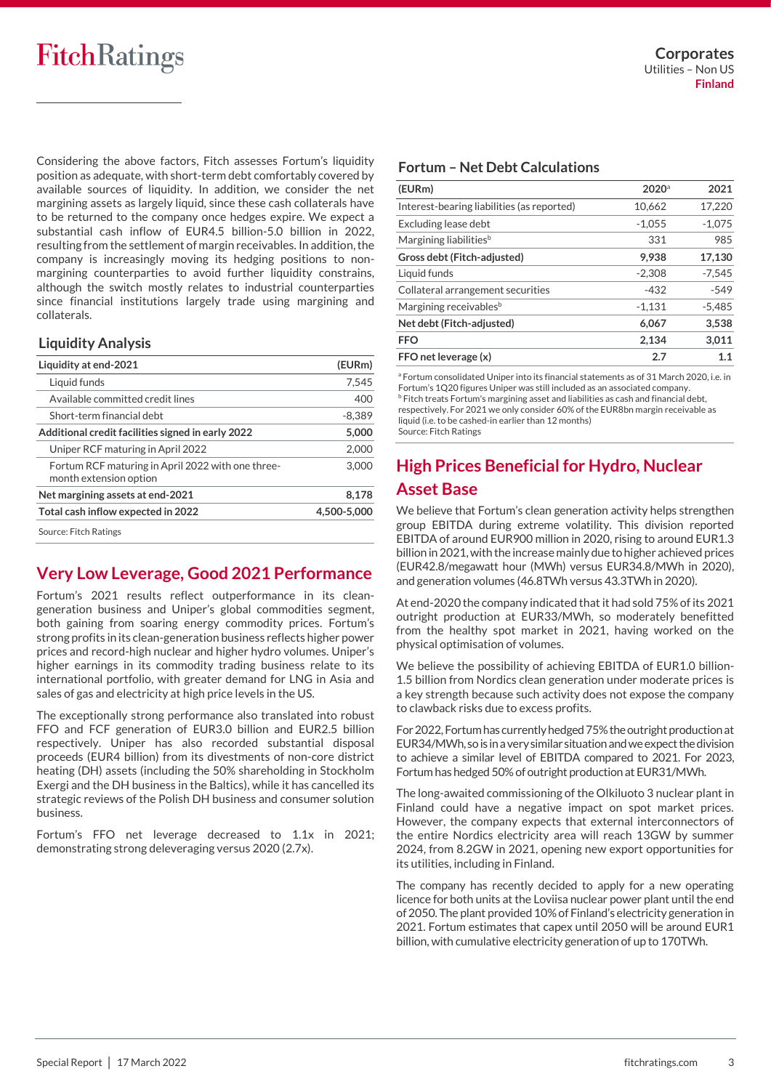# **FitchRatings**

Considering the above factors, Fitch assesses Fortum's liquidity position as adequate, with short-term debt comfortably covered by available sources of liquidity. In addition, we consider the net margining assets as largely liquid, since these cash collaterals have to be returned to the company once hedges expire. We expect a substantial cash inflow of EUR4.5 billion-5.0 billion in 2022, resulting from the settlement of margin receivables. In addition, the company is increasingly moving its hedging positions to nonmargining counterparties to avoid further liquidity constrains, although the switch mostly relates to industrial counterparties since financial institutions largely trade using margining and collaterals.

### **Liquidity Analysis**

| Liquidity at end-2021                                                       | (EURm)      |
|-----------------------------------------------------------------------------|-------------|
| Liquid funds                                                                | 7,545       |
| Available committed credit lines                                            | 400         |
| Short-term financial debt                                                   | $-8,389$    |
| Additional credit facilities signed in early 2022                           | 5.000       |
| Uniper RCF maturing in April 2022                                           | 2,000       |
| Fortum RCF maturing in April 2022 with one three-<br>month extension option | 3,000       |
| Net margining assets at end-2021                                            | 8,178       |
| Total cash inflow expected in 2022                                          | 4.500-5.000 |
| Source: Fitch Ratings                                                       |             |

## **Very Low Leverage, Good 2021 Performance**

Fortum's 2021 results reflect outperformance in its cleangeneration business and Uniper's global commodities segment, both gaining from soaring energy commodity prices. Fortum's strong profits in its clean-generation business reflects higher power prices and record-high nuclear and higher hydro volumes. Uniper's higher earnings in its commodity trading business relate to its international portfolio, with greater demand for LNG in Asia and sales of gas and electricity at high price levels in the US.

The exceptionally strong performance also translated into robust FFO and FCF generation of EUR3.0 billion and EUR2.5 billion respectively. Uniper has also recorded substantial disposal proceeds (EUR4 billion) from its divestments of non-core district heating (DH) assets (including the 50% shareholding in Stockholm Exergi and the DH business in the Baltics), while it has cancelled its strategic reviews of the Polish DH business and consumer solution business.

Fortum's FFO net leverage decreased to 1.1x in 2021; demonstrating strong deleveraging versus 2020 (2.7x).

### **Fortum – Net Debt Calculations**

| (EURm)                                     | $2020$ <sup>a</sup> | 2021     |
|--------------------------------------------|---------------------|----------|
| Interest-bearing liabilities (as reported) | 10,662              | 17,220   |
| Excluding lease debt                       | $-1.055$            | $-1.075$ |
| Margining liabilities <sup>b</sup>         | 331                 | 985      |
| Gross debt (Fitch-adjusted)                | 9,938               | 17,130   |
| Liquid funds                               | $-2.308$            | $-7.545$ |
| Collateral arrangement securities          | $-432$              | $-549$   |
| Margining receivables <sup>b</sup>         | $-1,131$            | $-5,485$ |
| Net debt (Fitch-adjusted)                  | 6,067               | 3,538    |
| <b>FFO</b>                                 | 2.134               | 3.011    |
| FFO net leverage (x)                       | 2.7                 | 1.1      |

<sup>a</sup> Fortum consolidated Uniper into its financial statements as of 31 March 2020, i.e. in Fortum's 1Q20 figures Uniper was still included as an associated company. **b** Fitch treats Fortum's margining asset and liabilities as cash and financial debt, respectively. For 2021 we only consider 60% of the EUR8bn margin receivable as liquid (i.e. to be cashed-in earlier than 12 months)

Source: Fitch Ratings

# **High Prices Beneficial for Hydro, Nuclear Asset Base**

We believe that Fortum's clean generation activity helps strengthen group EBITDA during extreme volatility. This division reported EBITDA of around EUR900 million in 2020, rising to around EUR1.3 billion in 2021, with the increase mainly due to higher achieved prices (EUR42.8/megawatt hour (MWh) versus EUR34.8/MWh in 2020), and generation volumes (46.8TWh versus 43.3TWh in 2020).

At end-2020 the company indicated that it had sold 75% of its 2021 outright production at EUR33/MWh, so moderately benefitted from the healthy spot market in 2021, having worked on the physical optimisation of volumes.

We believe the possibility of achieving EBITDA of EUR1.0 billion-1.5 billion from Nordics clean generation under moderate prices is a key strength because such activity does not expose the company to clawback risks due to excess profits.

For 2022, Fortum has currently hedged 75% the outright production at EUR34/MWh, so is in a very similar situation and we expect the division to achieve a similar level of EBITDA compared to 2021. For 2023, Fortum has hedged 50% of outright production at EUR31/MWh.

The long-awaited commissioning of the Olkiluoto 3 nuclear plant in Finland could have a negative impact on spot market prices. However, the company expects that external interconnectors of the entire Nordics electricity area will reach 13GW by summer 2024, from 8.2GW in 2021, opening new export opportunities for its utilities, including in Finland.

The company has recently decided to apply for a new operating licence for both units at the Loviisa nuclear power plant until the end of 2050. The plant provided 10% of Finland's electricity generation in 2021. Fortum estimates that capex until 2050 will be around EUR1 billion, with cumulative electricity generation of up to 170TWh.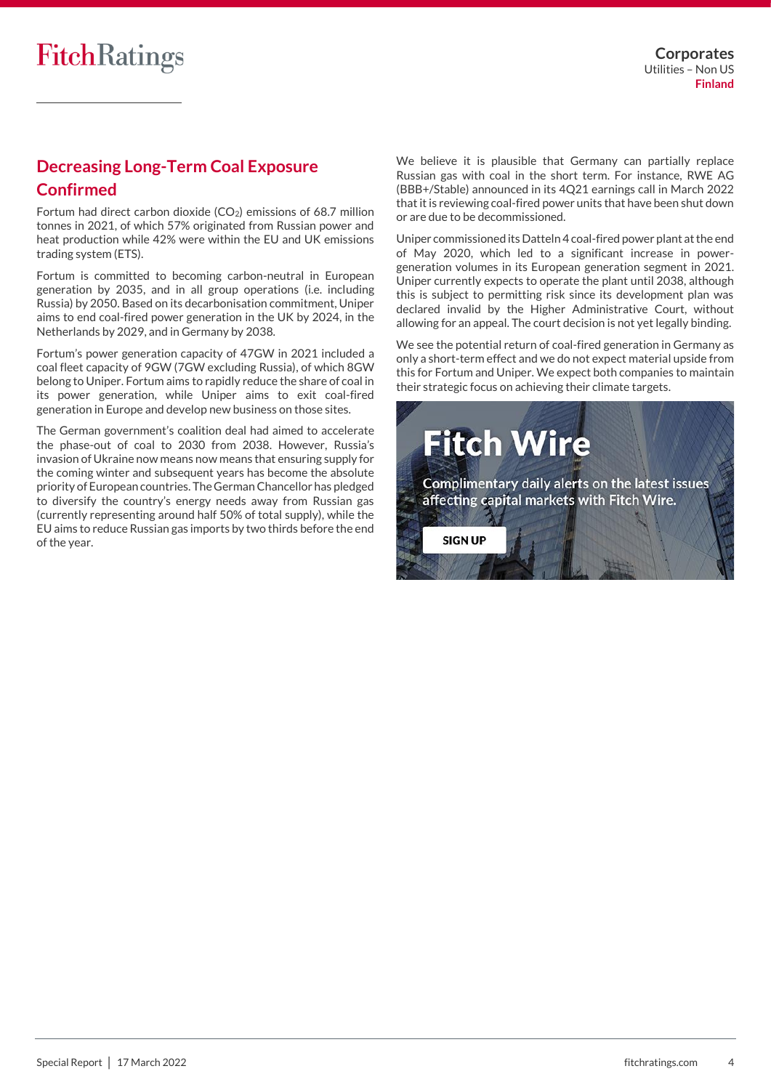## **Decreasing Long-Term Coal Exposure Confirmed**

Fortum had direct carbon dioxide  $(CO<sub>2</sub>)$  emissions of 68.7 million tonnes in 2021, of which 57% originated from Russian power and heat production while 42% were within the EU and UK emissions trading system (ETS).

Fortum is committed to becoming carbon-neutral in European generation by 2035, and in all group operations (i.e. including Russia) by 2050. Based on its decarbonisation commitment, Uniper aims to end coal-fired power generation in the UK by 2024, in the Netherlands by 2029, and in Germany by 2038.

Fortum's power generation capacity of 47GW in 2021 included a coal fleet capacity of 9GW (7GW excluding Russia), of which 8GW belong to Uniper. Fortum aims to rapidly reduce the share of coal in its power generation, while Uniper aims to exit coal-fired generation in Europe and develop new business on those sites.

The German government's coalition deal had aimed to accelerate the phase-out of coal to 2030 from 2038. However, Russia's invasion of Ukraine now means now means that ensuring supply for the coming winter and subsequent years has become the absolute priority of European countries. The German Chancellor has pledged to diversify the country's energy needs away from Russian gas (currently representing around half 50% of total supply), while the EU aims to reduce Russian gas imports by two thirds before the end of the year.

We believe it is plausible that Germany can partially replace Russian gas with coal in the short term. For instance, RWE AG (BBB+/Stable) announced in its 4Q21 earnings call in March 2022 that it is reviewing coal-fired power units that have been shut down or are due to be decommissioned.

Uniper commissioned its Datteln 4 coal-fired power plant at the end of May 2020, which led to a significant increase in powergeneration volumes in its European generation segment in 2021. Uniper currently expects to operate the plant until 2038, although this is subject to permitting risk since its development plan was declared invalid by the Higher Administrative Court, without allowing for an appeal. The court decision is not yet legally binding.

We see the potential return of coal-fired generation in Germany as only a short-term effect and we do not expect material upside from this for Fortum and Uniper. We expect both companies to maintain their strategic focus on achieving their climate targets.